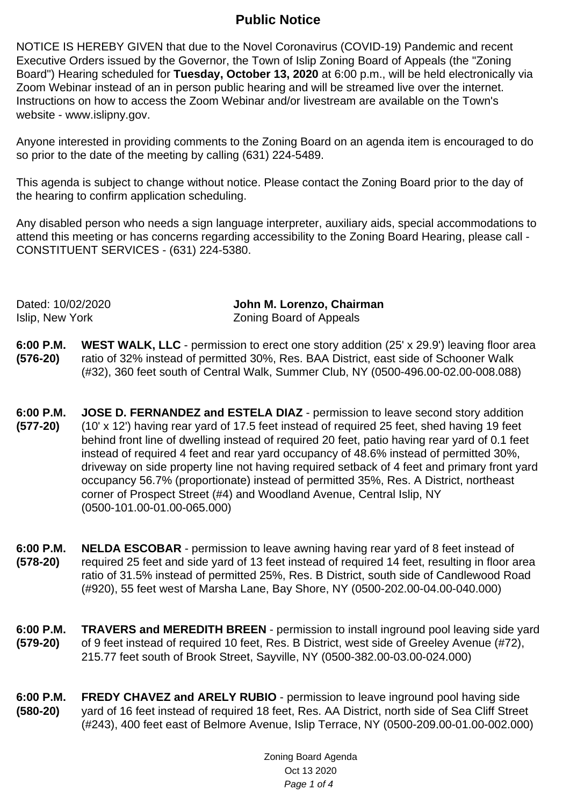## **Public Notice**

NOTICE IS HEREBY GIVEN that due to the Novel Coronavirus (COVID-19) Pandemic and recent Executive Orders issued by the Governor, the Town of Islip Zoning Board of Appeals (the "Zoning Board") Hearing scheduled for **Tuesday, October 13, 2020** at 6:00 p.m., will be held electronically via Zoom Webinar instead of an in person public hearing and will be streamed live over the internet. Instructions on how to access the Zoom Webinar and/or livestream are available on the Town's website - www.islipny.gov.

Anyone interested in providing comments to the Zoning Board on an agenda item is encouraged to do so prior to the date of the meeting by calling (631) 224-5489.

This agenda is subject to change without notice. Please contact the Zoning Board prior to the day of the hearing to confirm application scheduling.

Any disabled person who needs a sign language interpreter, auxiliary aids, special accommodations to attend this meeting or has concerns regarding accessibility to the Zoning Board Hearing, please call - CONSTITUENT SERVICES - (631) 224-5380.

Dated: 10/02/2020 **John M. Lorenzo, Chairman** Islip, New York Zoning Board of Appeals

- **6:00 P.M. (576-20) WEST WALK, LLC** - permission to erect one story addition (25' x 29.9') leaving floor area ratio of 32% instead of permitted 30%, Res. BAA District, east side of Schooner Walk (#32), 360 feet south of Central Walk, Summer Club, NY (0500-496.00-02.00-008.088)
- **6:00 P.M. (577-20) JOSE D. FERNANDEZ and ESTELA DIAZ** - permission to leave second story addition (10' x 12') having rear yard of 17.5 feet instead of required 25 feet, shed having 19 feet behind front line of dwelling instead of required 20 feet, patio having rear yard of 0.1 feet instead of required 4 feet and rear yard occupancy of 48.6% instead of permitted 30%, driveway on side property line not having required setback of 4 feet and primary front yard occupancy 56.7% (proportionate) instead of permitted 35%, Res. A District, northeast corner of Prospect Street (#4) and Woodland Avenue, Central Islip, NY (0500-101.00-01.00-065.000)
- **6:00 P.M. (578-20) NELDA ESCOBAR** - permission to leave awning having rear yard of 8 feet instead of required 25 feet and side yard of 13 feet instead of required 14 feet, resulting in floor area ratio of 31.5% instead of permitted 25%, Res. B District, south side of Candlewood Road (#920), 55 feet west of Marsha Lane, Bay Shore, NY (0500-202.00-04.00-040.000)
- **6:00 P.M. (579-20) TRAVERS and MEREDITH BREEN** - permission to install inground pool leaving side yard of 9 feet instead of required 10 feet, Res. B District, west side of Greeley Avenue (#72), 215.77 feet south of Brook Street, Sayville, NY (0500-382.00-03.00-024.000)
- **6:00 P.M. (580-20) FREDY CHAVEZ and ARELY RUBIO** - permission to leave inground pool having side yard of 16 feet instead of required 18 feet, Res. AA District, north side of Sea Cliff Street (#243), 400 feet east of Belmore Avenue, Islip Terrace, NY (0500-209.00-01.00-002.000)

Zoning Board Agenda Oct 13 2020 Page 1 of 4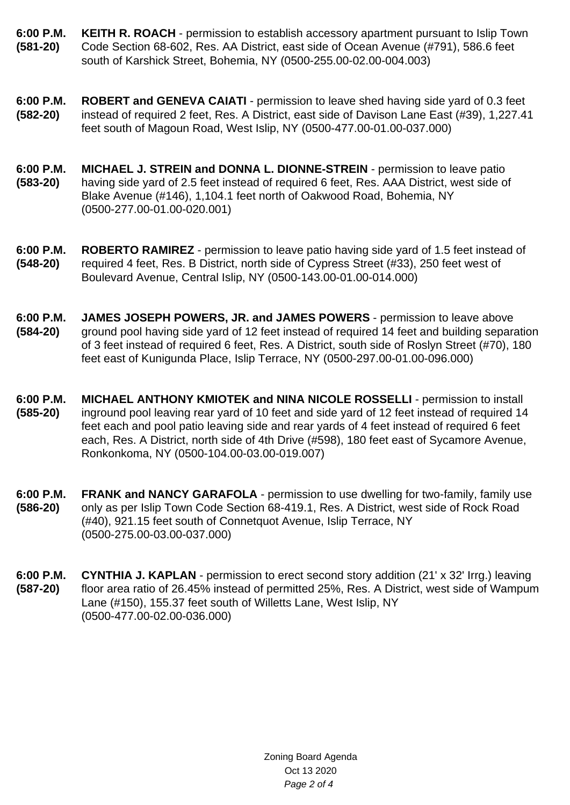- **6:00 P.M. (581-20) KEITH R. ROACH** - permission to establish accessory apartment pursuant to Islip Town Code Section 68-602, Res. AA District, east side of Ocean Avenue (#791), 586.6 feet south of Karshick Street, Bohemia, NY (0500-255.00-02.00-004.003)
- **6:00 P.M. (582-20) ROBERT and GENEVA CAIATI** - permission to leave shed having side yard of 0.3 feet instead of required 2 feet, Res. A District, east side of Davison Lane East (#39), 1,227.41 feet south of Magoun Road, West Islip, NY (0500-477.00-01.00-037.000)
- **6:00 P.M. (583-20) MICHAEL J. STREIN and DONNA L. DIONNE-STREIN** - permission to leave patio having side yard of 2.5 feet instead of required 6 feet, Res. AAA District, west side of Blake Avenue (#146), 1,104.1 feet north of Oakwood Road, Bohemia, NY (0500-277.00-01.00-020.001)
- **6:00 P.M. (548-20) ROBERTO RAMIREZ** - permission to leave patio having side yard of 1.5 feet instead of required 4 feet, Res. B District, north side of Cypress Street (#33), 250 feet west of Boulevard Avenue, Central Islip, NY (0500-143.00-01.00-014.000)
- **6:00 P.M. (584-20) JAMES JOSEPH POWERS, JR. and JAMES POWERS** - permission to leave above ground pool having side yard of 12 feet instead of required 14 feet and building separation of 3 feet instead of required 6 feet, Res. A District, south side of Roslyn Street (#70), 180 feet east of Kunigunda Place, Islip Terrace, NY (0500-297.00-01.00-096.000)
- **6:00 P.M. (585-20) MICHAEL ANTHONY KMIOTEK and NINA NICOLE ROSSELLI** - permission to install inground pool leaving rear yard of 10 feet and side yard of 12 feet instead of required 14 feet each and pool patio leaving side and rear yards of 4 feet instead of required 6 feet each, Res. A District, north side of 4th Drive (#598), 180 feet east of Sycamore Avenue, Ronkonkoma, NY (0500-104.00-03.00-019.007)
- **6:00 P.M. (586-20) FRANK and NANCY GARAFOLA** - permission to use dwelling for two-family, family use only as per Islip Town Code Section 68-419.1, Res. A District, west side of Rock Road (#40), 921.15 feet south of Connetquot Avenue, Islip Terrace, NY (0500-275.00-03.00-037.000)
- **6:00 P.M. (587-20) CYNTHIA J. KAPLAN** - permission to erect second story addition (21' x 32' Irrg.) leaving floor area ratio of 26.45% instead of permitted 25%, Res. A District, west side of Wampum Lane (#150), 155.37 feet south of Willetts Lane, West Islip, NY (0500-477.00-02.00-036.000)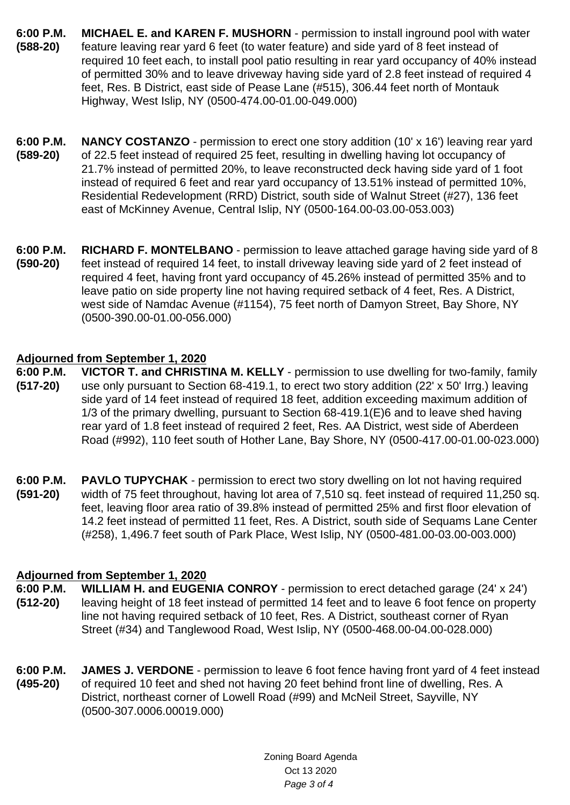- **6:00 P.M. (588-20) MICHAEL E. and KAREN F. MUSHORN** - permission to install inground pool with water feature leaving rear yard 6 feet (to water feature) and side yard of 8 feet instead of required 10 feet each, to install pool patio resulting in rear yard occupancy of 40% instead of permitted 30% and to leave driveway having side yard of 2.8 feet instead of required 4 feet, Res. B District, east side of Pease Lane (#515), 306.44 feet north of Montauk Highway, West Islip, NY (0500-474.00-01.00-049.000)
- **6:00 P.M. (589-20) NANCY COSTANZO** - permission to erect one story addition (10' x 16') leaving rear vard of 22.5 feet instead of required 25 feet, resulting in dwelling having lot occupancy of 21.7% instead of permitted 20%, to leave reconstructed deck having side yard of 1 foot instead of required 6 feet and rear yard occupancy of 13.51% instead of permitted 10%, Residential Redevelopment (RRD) District, south side of Walnut Street (#27), 136 feet east of McKinney Avenue, Central Islip, NY (0500-164.00-03.00-053.003)
- **6:00 P.M. (590-20) RICHARD F. MONTELBANO** - permission to leave attached garage having side yard of 8 feet instead of required 14 feet, to install driveway leaving side yard of 2 feet instead of required 4 feet, having front yard occupancy of 45.26% instead of permitted 35% and to leave patio on side property line not having required setback of 4 feet, Res. A District, west side of Namdac Avenue (#1154), 75 feet north of Damyon Street, Bay Shore, NY (0500-390.00-01.00-056.000)

## **Adjourned from September 1, 2020**

- **6:00 P.M. (517-20) VICTOR T. and CHRISTINA M. KELLY** - permission to use dwelling for two-family, family use only pursuant to Section 68-419.1, to erect two story addition (22' x 50' Irrg.) leaving side yard of 14 feet instead of required 18 feet, addition exceeding maximum addition of 1/3 of the primary dwelling, pursuant to Section 68-419.1(E)6 and to leave shed having rear yard of 1.8 feet instead of required 2 feet, Res. AA District, west side of Aberdeen Road (#992), 110 feet south of Hother Lane, Bay Shore, NY (0500-417.00-01.00-023.000)
- **6:00 P.M. (591-20) PAVLO TUPYCHAK** - permission to erect two story dwelling on lot not having required width of 75 feet throughout, having lot area of 7,510 sq. feet instead of required 11,250 sq. feet, leaving floor area ratio of 39.8% instead of permitted 25% and first floor elevation of 14.2 feet instead of permitted 11 feet, Res. A District, south side of Sequams Lane Center (#258), 1,496.7 feet south of Park Place, West Islip, NY (0500-481.00-03.00-003.000)

## **Adjourned from September 1, 2020**

- **6:00 P.M. (512-20) WILLIAM H. and EUGENIA CONROY** - permission to erect detached garage (24' x 24') leaving height of 18 feet instead of permitted 14 feet and to leave 6 foot fence on property line not having required setback of 10 feet, Res. A District, southeast corner of Ryan Street (#34) and Tanglewood Road, West Islip, NY (0500-468.00-04.00-028.000)
- **6:00 P.M. (495-20) JAMES J. VERDONE** - permission to leave 6 foot fence having front yard of 4 feet instead of required 10 feet and shed not having 20 feet behind front line of dwelling, Res. A District, northeast corner of Lowell Road (#99) and McNeil Street, Sayville, NY (0500-307.0006.00019.000)

Zoning Board Agenda Oct 13 2020 Page 3 of 4